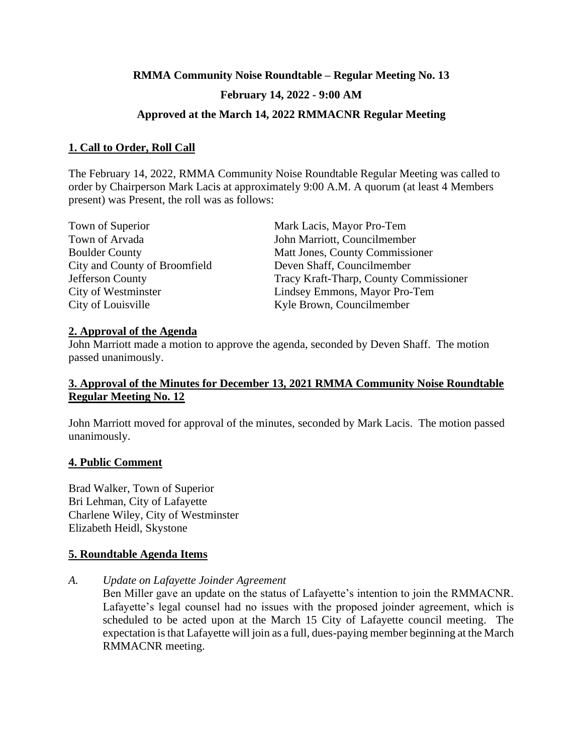# **RMMA Community Noise Roundtable – Regular Meeting No. 13 February 14, 2022 - 9:00 AM**

# **Approved at the March 14, 2022 RMMACNR Regular Meeting**

# **1. Call to Order, Roll Call**

The February 14, 2022, RMMA Community Noise Roundtable Regular Meeting was called to order by Chairperson Mark Lacis at approximately 9:00 A.M. A quorum (at least 4 Members present) was Present, the roll was as follows:

| Town of Superior              | Mark Lacis, Mayor Pro-Tem              |
|-------------------------------|----------------------------------------|
| Town of Arvada                | John Marriott, Councilmember           |
| <b>Boulder County</b>         | Matt Jones, County Commissioner        |
| City and County of Broomfield | Deven Shaff, Councilmember             |
| Jefferson County              | Tracy Kraft-Tharp, County Commissioner |
| City of Westminster           | Lindsey Emmons, Mayor Pro-Tem          |
| City of Louisville            | Kyle Brown, Councilmember              |

#### **2. Approval of the Agenda**

John Marriott made a motion to approve the agenda, seconded by Deven Shaff. The motion passed unanimously.

# **3. Approval of the Minutes for December 13, 2021 RMMA Community Noise Roundtable Regular Meeting No. 12**

John Marriott moved for approval of the minutes, seconded by Mark Lacis. The motion passed unanimously.

#### **4. Public Comment**

Brad Walker, Town of Superior Bri Lehman, City of Lafayette Charlene Wiley, City of Westminster Elizabeth Heidl, Skystone

# **5. Roundtable Agenda Items**

*A. Update on Lafayette Joinder Agreement*

Ben Miller gave an update on the status of Lafayette's intention to join the RMMACNR. Lafayette's legal counsel had no issues with the proposed joinder agreement, which is scheduled to be acted upon at the March 15 City of Lafayette council meeting. The expectation is that Lafayette will join as a full, dues-paying member beginning at the March RMMACNR meeting.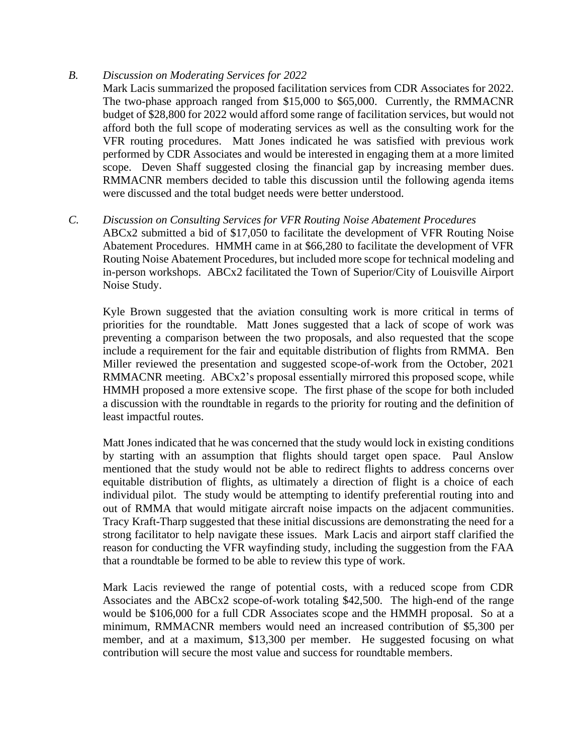#### *B. Discussion on Moderating Services for 2022*

Mark Lacis summarized the proposed facilitation services from CDR Associates for 2022. The two-phase approach ranged from \$15,000 to \$65,000. Currently, the RMMACNR budget of \$28,800 for 2022 would afford some range of facilitation services, but would not afford both the full scope of moderating services as well as the consulting work for the VFR routing procedures. Matt Jones indicated he was satisfied with previous work performed by CDR Associates and would be interested in engaging them at a more limited scope. Deven Shaff suggested closing the financial gap by increasing member dues. RMMACNR members decided to table this discussion until the following agenda items were discussed and the total budget needs were better understood.

#### *C. Discussion on Consulting Services for VFR Routing Noise Abatement Procedures*

ABCx2 submitted a bid of \$17,050 to facilitate the development of VFR Routing Noise Abatement Procedures. HMMH came in at \$66,280 to facilitate the development of VFR Routing Noise Abatement Procedures, but included more scope for technical modeling and in-person workshops. ABCx2 facilitated the Town of Superior/City of Louisville Airport Noise Study.

Kyle Brown suggested that the aviation consulting work is more critical in terms of priorities for the roundtable. Matt Jones suggested that a lack of scope of work was preventing a comparison between the two proposals, and also requested that the scope include a requirement for the fair and equitable distribution of flights from RMMA. Ben Miller reviewed the presentation and suggested scope-of-work from the October, 2021 RMMACNR meeting. ABCx2's proposal essentially mirrored this proposed scope, while HMMH proposed a more extensive scope. The first phase of the scope for both included a discussion with the roundtable in regards to the priority for routing and the definition of least impactful routes.

Matt Jones indicated that he was concerned that the study would lock in existing conditions by starting with an assumption that flights should target open space. Paul Anslow mentioned that the study would not be able to redirect flights to address concerns over equitable distribution of flights, as ultimately a direction of flight is a choice of each individual pilot. The study would be attempting to identify preferential routing into and out of RMMA that would mitigate aircraft noise impacts on the adjacent communities. Tracy Kraft-Tharp suggested that these initial discussions are demonstrating the need for a strong facilitator to help navigate these issues. Mark Lacis and airport staff clarified the reason for conducting the VFR wayfinding study, including the suggestion from the FAA that a roundtable be formed to be able to review this type of work.

Mark Lacis reviewed the range of potential costs, with a reduced scope from CDR Associates and the ABCx2 scope-of-work totaling \$42,500. The high-end of the range would be \$106,000 for a full CDR Associates scope and the HMMH proposal. So at a minimum, RMMACNR members would need an increased contribution of \$5,300 per member, and at a maximum, \$13,300 per member. He suggested focusing on what contribution will secure the most value and success for roundtable members.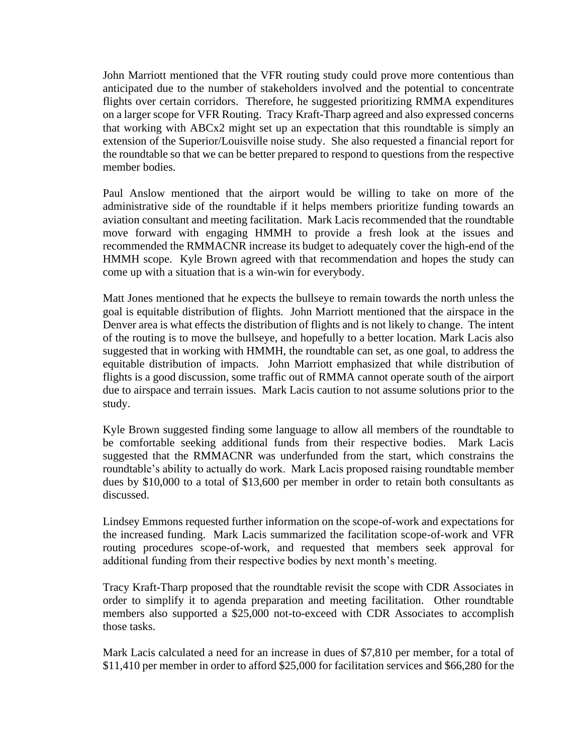John Marriott mentioned that the VFR routing study could prove more contentious than anticipated due to the number of stakeholders involved and the potential to concentrate flights over certain corridors. Therefore, he suggested prioritizing RMMA expenditures on a larger scope for VFR Routing. Tracy Kraft-Tharp agreed and also expressed concerns that working with ABCx2 might set up an expectation that this roundtable is simply an extension of the Superior/Louisville noise study. She also requested a financial report for the roundtable so that we can be better prepared to respond to questions from the respective member bodies.

Paul Anslow mentioned that the airport would be willing to take on more of the administrative side of the roundtable if it helps members prioritize funding towards an aviation consultant and meeting facilitation. Mark Lacis recommended that the roundtable move forward with engaging HMMH to provide a fresh look at the issues and recommended the RMMACNR increase its budget to adequately cover the high-end of the HMMH scope. Kyle Brown agreed with that recommendation and hopes the study can come up with a situation that is a win-win for everybody.

Matt Jones mentioned that he expects the bullseye to remain towards the north unless the goal is equitable distribution of flights. John Marriott mentioned that the airspace in the Denver area is what effects the distribution of flights and is not likely to change. The intent of the routing is to move the bullseye, and hopefully to a better location. Mark Lacis also suggested that in working with HMMH, the roundtable can set, as one goal, to address the equitable distribution of impacts. John Marriott emphasized that while distribution of flights is a good discussion, some traffic out of RMMA cannot operate south of the airport due to airspace and terrain issues. Mark Lacis caution to not assume solutions prior to the study.

Kyle Brown suggested finding some language to allow all members of the roundtable to be comfortable seeking additional funds from their respective bodies. Mark Lacis suggested that the RMMACNR was underfunded from the start, which constrains the roundtable's ability to actually do work. Mark Lacis proposed raising roundtable member dues by \$10,000 to a total of \$13,600 per member in order to retain both consultants as discussed.

Lindsey Emmons requested further information on the scope-of-work and expectations for the increased funding. Mark Lacis summarized the facilitation scope-of-work and VFR routing procedures scope-of-work, and requested that members seek approval for additional funding from their respective bodies by next month's meeting.

Tracy Kraft-Tharp proposed that the roundtable revisit the scope with CDR Associates in order to simplify it to agenda preparation and meeting facilitation. Other roundtable members also supported a \$25,000 not-to-exceed with CDR Associates to accomplish those tasks.

Mark Lacis calculated a need for an increase in dues of \$7,810 per member, for a total of \$11,410 per member in order to afford \$25,000 for facilitation services and \$66,280 for the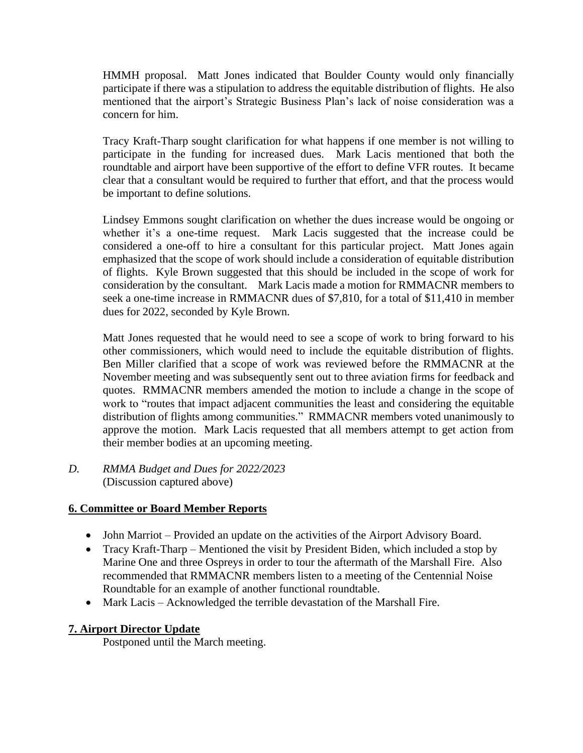HMMH proposal. Matt Jones indicated that Boulder County would only financially participate if there was a stipulation to address the equitable distribution of flights. He also mentioned that the airport's Strategic Business Plan's lack of noise consideration was a concern for him.

Tracy Kraft-Tharp sought clarification for what happens if one member is not willing to participate in the funding for increased dues. Mark Lacis mentioned that both the roundtable and airport have been supportive of the effort to define VFR routes. It became clear that a consultant would be required to further that effort, and that the process would be important to define solutions.

Lindsey Emmons sought clarification on whether the dues increase would be ongoing or whether it's a one-time request. Mark Lacis suggested that the increase could be considered a one-off to hire a consultant for this particular project. Matt Jones again emphasized that the scope of work should include a consideration of equitable distribution of flights. Kyle Brown suggested that this should be included in the scope of work for consideration by the consultant. Mark Lacis made a motion for RMMACNR members to seek a one-time increase in RMMACNR dues of \$7,810, for a total of \$11,410 in member dues for 2022, seconded by Kyle Brown.

Matt Jones requested that he would need to see a scope of work to bring forward to his other commissioners, which would need to include the equitable distribution of flights. Ben Miller clarified that a scope of work was reviewed before the RMMACNR at the November meeting and was subsequently sent out to three aviation firms for feedback and quotes. RMMACNR members amended the motion to include a change in the scope of work to "routes that impact adjacent communities the least and considering the equitable distribution of flights among communities." RMMACNR members voted unanimously to approve the motion. Mark Lacis requested that all members attempt to get action from their member bodies at an upcoming meeting.

*D. RMMA Budget and Dues for 2022/2023* (Discussion captured above)

# **6. Committee or Board Member Reports**

- John Marriot Provided an update on the activities of the Airport Advisory Board.
- Tracy Kraft-Tharp Mentioned the visit by President Biden, which included a stop by Marine One and three Ospreys in order to tour the aftermath of the Marshall Fire. Also recommended that RMMACNR members listen to a meeting of the Centennial Noise Roundtable for an example of another functional roundtable.
- Mark Lacis Acknowledged the terrible devastation of the Marshall Fire.

# **7. Airport Director Update**

Postponed until the March meeting.